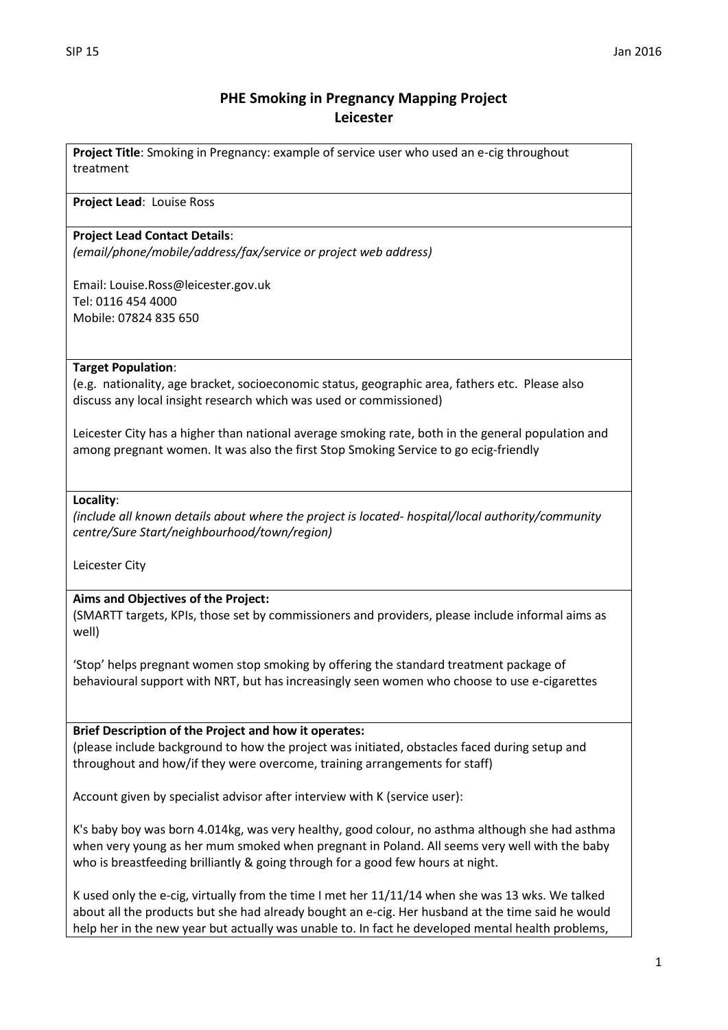# **PHE Smoking in Pregnancy Mapping Project Leicester**

**Project Title**: Smoking in Pregnancy: example of service user who used an e-cig throughout treatment

### **Project Lead**: Louise Ross

### **Project Lead Contact Details**:

*(email/phone/mobile/address/fax/service or project web address)*

Email: Louise.Ross@leicester.gov.uk Tel: 0116 454 4000 Mobile: 07824 835 650

# **Target Population**:

(e.g. nationality, age bracket, socioeconomic status, geographic area, fathers etc. Please also discuss any local insight research which was used or commissioned)

Leicester City has a higher than national average smoking rate, both in the general population and among pregnant women. It was also the first Stop Smoking Service to go ecig-friendly

#### **Locality**:

*(include all known details about where the project is located- hospital/local authority/community centre/Sure Start/neighbourhood/town/region)*

Leicester City

# **Aims and Objectives of the Project:**

(SMARTT targets, KPIs, those set by commissioners and providers, please include informal aims as well)

'Stop' helps pregnant women stop smoking by offering the standard treatment package of behavioural support with NRT, but has increasingly seen women who choose to use e-cigarettes

# **Brief Description of the Project and how it operates:**

(please include background to how the project was initiated, obstacles faced during setup and throughout and how/if they were overcome, training arrangements for staff)

Account given by specialist advisor after interview with K (service user):

K's baby boy was born 4.014kg, was very healthy, good colour, no asthma although she had asthma when very young as her mum smoked when pregnant in Poland. All seems very well with the baby who is breastfeeding brilliantly & going through for a good few hours at night.

K used only the e-cig, virtually from the time I met her 11/11/14 when she was 13 wks. We talked about all the products but she had already bought an e-cig. Her husband at the time said he would help her in the new year but actually was unable to. In fact he developed mental health problems,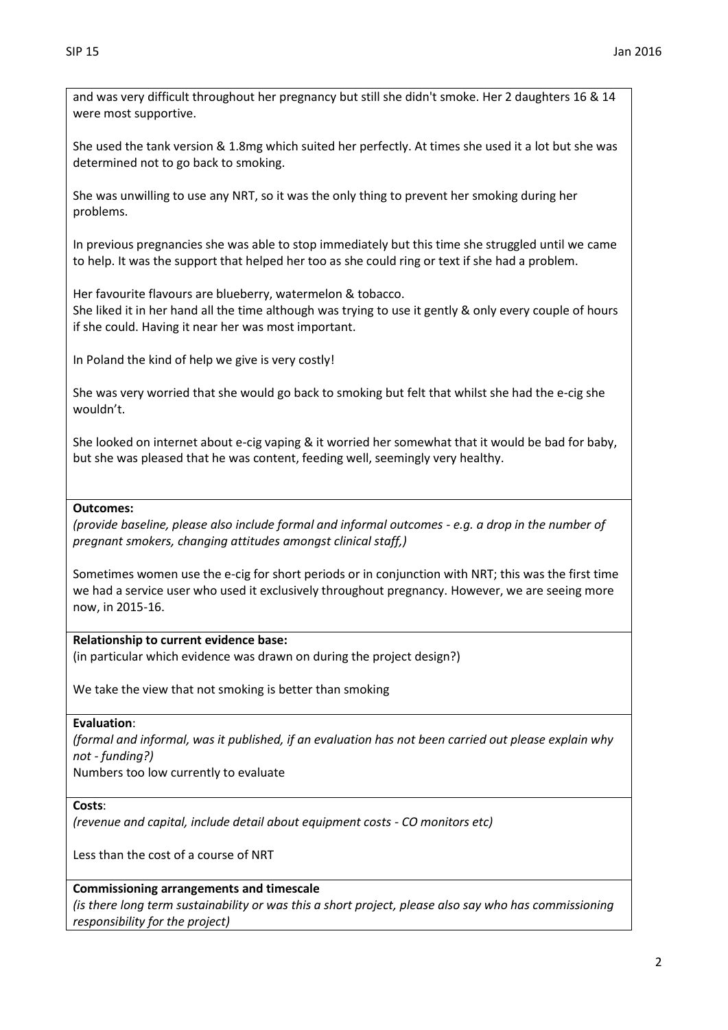and was very difficult throughout her pregnancy but still she didn't smoke. Her 2 daughters 16 & 14 were most supportive.

She used the tank version & 1.8mg which suited her perfectly. At times she used it a lot but she was determined not to go back to smoking.

She was unwilling to use any NRT, so it was the only thing to prevent her smoking during her problems.

In previous pregnancies she was able to stop immediately but this time she struggled until we came to help. It was the support that helped her too as she could ring or text if she had a problem.

Her favourite flavours are blueberry, watermelon & tobacco.

She liked it in her hand all the time although was trying to use it gently & only every couple of hours if she could. Having it near her was most important.

In Poland the kind of help we give is very costly!

She was very worried that she would go back to smoking but felt that whilst she had the e-cig she wouldn't.

She looked on internet about e-cig vaping & it worried her somewhat that it would be bad for baby, but she was pleased that he was content, feeding well, seemingly very healthy.

### **Outcomes:**

*(provide baseline, please also include formal and informal outcomes - e.g. a drop in the number of pregnant smokers, changing attitudes amongst clinical staff,)*

Sometimes women use the e-cig for short periods or in conjunction with NRT; this was the first time we had a service user who used it exclusively throughout pregnancy. However, we are seeing more now, in 2015-16.

#### **Relationship to current evidence base:**

(in particular which evidence was drawn on during the project design?)

We take the view that not smoking is better than smoking

#### **Evaluation**:

*(formal and informal, was it published, if an evaluation has not been carried out please explain why not - funding?)* Numbers too low currently to evaluate

#### **Costs**:

*(revenue and capital, include detail about equipment costs - CO monitors etc)*

Less than the cost of a course of NRT

# **Commissioning arrangements and timescale**

*(is there long term sustainability or was this a short project, please also say who has commissioning responsibility for the project)*